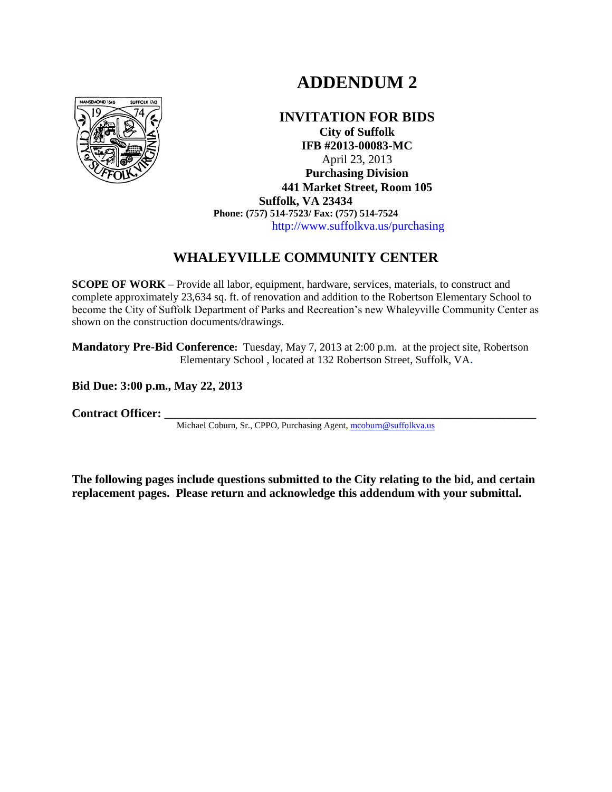# **ADDENDUM 2**



#### **INVITATION FOR BIDS City of Suffolk IFB #2013-00083-MC** April 23, 2013 **Purchasing Division 441 Market Street, Room 105 Suffolk, VA 23434 Phone: (757) 514-7523/ Fax: (757) 514-7524** http://www.suffolkva.us/purchasing

# **WHALEYVILLE COMMUNITY CENTER**

**SCOPE OF WORK** – Provide all labor, equipment, hardware, services, materials, to construct and complete approximately 23,634 sq. ft. of renovation and addition to the Robertson Elementary School to become the City of Suffolk Department of Parks and Recreation"s new Whaleyville Community Center as shown on the construction documents/drawings.

**Mandatory Pre-Bid Conference:** Tuesday, May 7, 2013 at 2:00 p.m. at the project site, Robertson Elementary School , located at 132 Robertson Street, Suffolk, VA**.**

**Bid Due: 3:00 p.m., May 22, 2013**

Contract Officer:

Michael Coburn, Sr., CPPO, Purchasing Agent[, mcoburn@suffolkva.us](mailto:mcoburn@suffolkva.us)

**The following pages include questions submitted to the City relating to the bid, and certain replacement pages. Please return and acknowledge this addendum with your submittal.**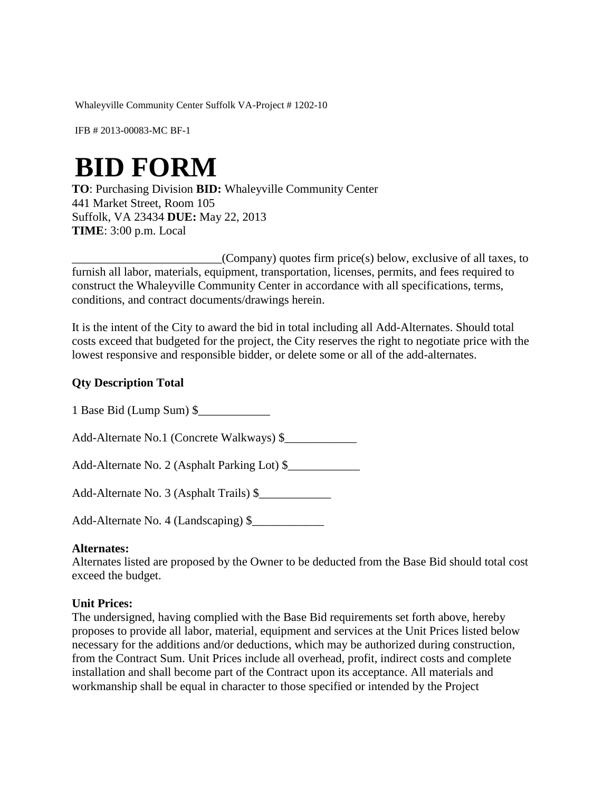Whaleyville Community Center Suffolk VA-Project # 1202-10

IFB # 2013-00083-MC BF-1

# **BID FORM**

**TO**: Purchasing Division **BID:** Whaleyville Community Center 441 Market Street, Room 105 Suffolk, VA 23434 **DUE:** May 22, 2013 **TIME**: 3:00 p.m. Local

 $_{\leq}$  (Company) quotes firm price(s) below, exclusive of all taxes, to furnish all labor, materials, equipment, transportation, licenses, permits, and fees required to construct the Whaleyville Community Center in accordance with all specifications, terms, conditions, and contract documents/drawings herein.

It is the intent of the City to award the bid in total including all Add-Alternates. Should total costs exceed that budgeted for the project, the City reserves the right to negotiate price with the lowest responsive and responsible bidder, or delete some or all of the add-alternates.

#### **Qty Description Total**

1 Base Bid (Lump Sum) \$\_\_\_\_\_\_\_\_\_\_\_\_

Add-Alternate No.1 (Concrete Walkways) \$\_\_\_\_\_\_\_\_\_\_\_\_

Add-Alternate No. 2 (Asphalt Parking Lot) \$\_\_\_\_\_\_\_\_\_\_\_\_

Add-Alternate No. 3 (Asphalt Trails) \$\_\_\_\_\_\_\_\_\_\_\_\_

Add-Alternate No. 4 (Landscaping) \$

#### **Alternates:**

Alternates listed are proposed by the Owner to be deducted from the Base Bid should total cost exceed the budget.

#### **Unit Prices:**

The undersigned, having complied with the Base Bid requirements set forth above, hereby proposes to provide all labor, material, equipment and services at the Unit Prices listed below necessary for the additions and/or deductions, which may be authorized during construction, from the Contract Sum. Unit Prices include all overhead, profit, indirect costs and complete installation and shall become part of the Contract upon its acceptance. All materials and workmanship shall be equal in character to those specified or intended by the Project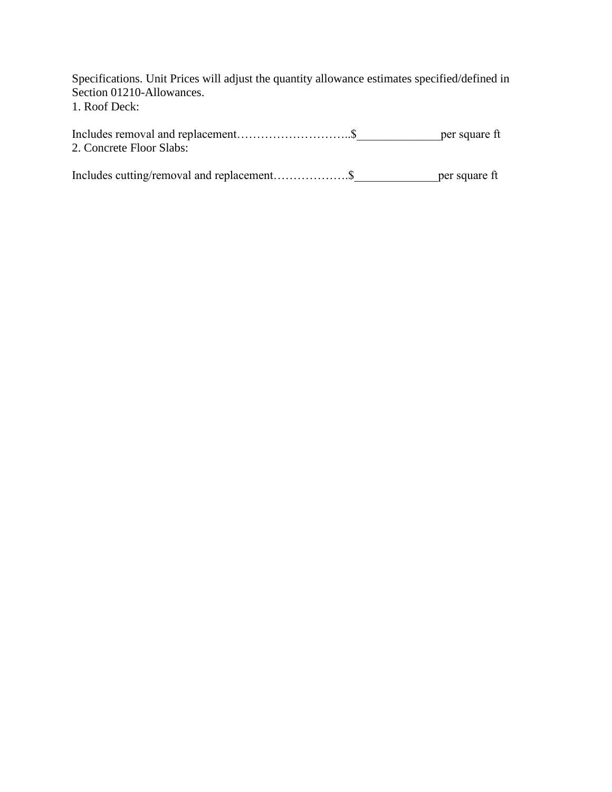Specifications. Unit Prices will adjust the quantity allowance estimates specified/defined in Section 01210-Allowances. 1. Roof Deck:

|                          | per square ft |
|--------------------------|---------------|
| 2. Concrete Floor Slabs: |               |

Includes cutting/removal and replacement……………….\$\_\_\_\_\_\_\_\_\_\_\_\_\_\_per square ft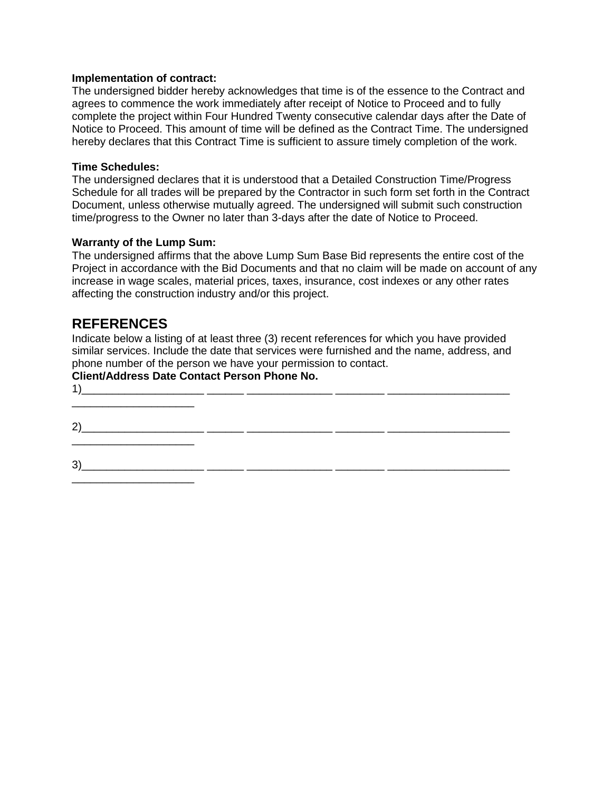#### **Implementation of contract:**

The undersigned bidder hereby acknowledges that time is of the essence to the Contract and agrees to commence the work immediately after receipt of Notice to Proceed and to fully complete the project within Four Hundred Twenty consecutive calendar days after the Date of Notice to Proceed. This amount of time will be defined as the Contract Time. The undersigned hereby declares that this Contract Time is sufficient to assure timely completion of the work.

#### **Time Schedules:**

The undersigned declares that it is understood that a Detailed Construction Time/Progress Schedule for all trades will be prepared by the Contractor in such form set forth in the Contract Document, unless otherwise mutually agreed. The undersigned will submit such construction time/progress to the Owner no later than 3-days after the date of Notice to Proceed.

#### **Warranty of the Lump Sum:**

The undersigned affirms that the above Lump Sum Base Bid represents the entire cost of the Project in accordance with the Bid Documents and that no claim will be made on account of any increase in wage scales, material prices, taxes, insurance, cost indexes or any other rates affecting the construction industry and/or this project.

# **REFERENCES**

\_\_\_\_\_\_\_\_\_\_\_\_\_\_\_\_\_\_\_\_

Indicate below a listing of at least three (3) recent references for which you have provided similar services. Include the date that services were furnished and the name, address, and phone number of the person we have your permission to contact.

#### **Client/Address Date Contact Person Phone No.**

1)\_\_\_\_\_\_\_\_\_\_\_\_\_\_\_\_\_\_\_\_ \_\_\_\_\_\_ \_\_\_\_\_\_\_\_\_\_\_\_\_\_ \_\_\_\_\_\_\_\_ \_\_\_\_\_\_\_\_\_\_\_\_\_\_\_\_\_\_\_\_ \_\_\_\_\_\_\_\_\_\_\_\_\_\_\_\_\_\_\_\_ 2)\_\_\_\_\_\_\_\_\_\_\_\_\_\_\_\_\_\_\_\_ \_\_\_\_\_\_ \_\_\_\_\_\_\_\_\_\_\_\_\_\_ \_\_\_\_\_\_\_\_ \_\_\_\_\_\_\_\_\_\_\_\_\_\_\_\_\_\_\_\_ \_\_\_\_\_\_\_\_\_\_\_\_\_\_\_\_\_\_\_\_ 3)\_\_\_\_\_\_\_\_\_\_\_\_\_\_\_\_\_\_\_\_ \_\_\_\_\_\_ \_\_\_\_\_\_\_\_\_\_\_\_\_\_ \_\_\_\_\_\_\_\_ \_\_\_\_\_\_\_\_\_\_\_\_\_\_\_\_\_\_\_\_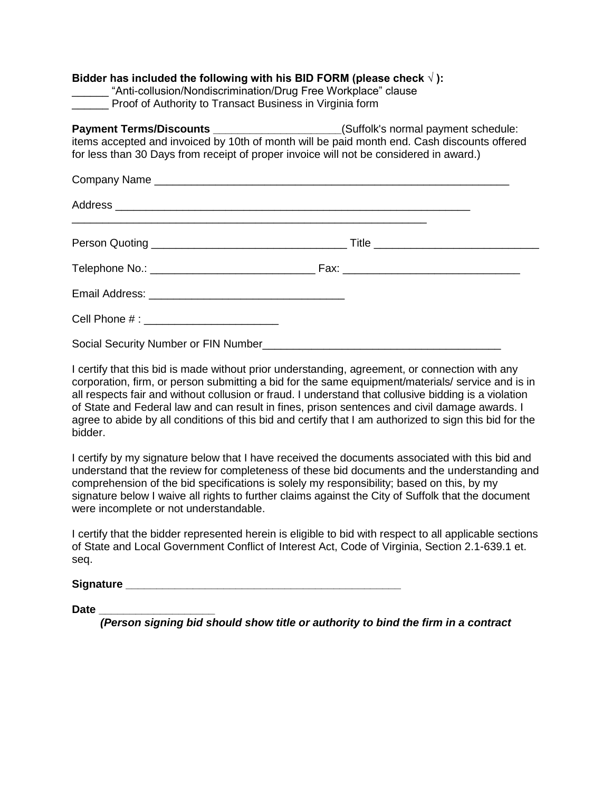| Bidder has included the following with his BID FORM (please check $\sqrt{}$ ):<br>_______ "Anti-collusion/Nondiscrimination/Drug Free Workplace" clause<br>_______ Proof of Authority to Transact Business in Virginia form                                                        |  |  |  |  |
|------------------------------------------------------------------------------------------------------------------------------------------------------------------------------------------------------------------------------------------------------------------------------------|--|--|--|--|
| <b>Payment Terms/Discounts</b> _______________________(Suffolk's normal payment schedule:<br>items accepted and invoiced by 10th of month will be paid month end. Cash discounts offered<br>for less than 30 Days from receipt of proper invoice will not be considered in award.) |  |  |  |  |
|                                                                                                                                                                                                                                                                                    |  |  |  |  |
|                                                                                                                                                                                                                                                                                    |  |  |  |  |
|                                                                                                                                                                                                                                                                                    |  |  |  |  |
|                                                                                                                                                                                                                                                                                    |  |  |  |  |
|                                                                                                                                                                                                                                                                                    |  |  |  |  |
|                                                                                                                                                                                                                                                                                    |  |  |  |  |
| Social Security Number or FIN Number                                                                                                                                                                                                                                               |  |  |  |  |

I certify that this bid is made without prior understanding, agreement, or connection with any corporation, firm, or person submitting a bid for the same equipment/materials/ service and is in all respects fair and without collusion or fraud. I understand that collusive bidding is a violation of State and Federal law and can result in fines, prison sentences and civil damage awards. I agree to abide by all conditions of this bid and certify that I am authorized to sign this bid for the bidder.

I certify by my signature below that I have received the documents associated with this bid and understand that the review for completeness of these bid documents and the understanding and comprehension of the bid specifications is solely my responsibility; based on this, by my signature below I waive all rights to further claims against the City of Suffolk that the document were incomplete or not understandable.

I certify that the bidder represented herein is eligible to bid with respect to all applicable sections of State and Local Government Conflict of Interest Act, Code of Virginia, Section 2.1-639.1 et. seq.

Signature **Signature Signature** *Contract and Contract and Contract and Contract and Contract and Contract and Contract and Contract and Contract and Contract and Contract and Contract and Contract and Contract and Cont* 

**Date \_\_\_\_\_\_\_\_\_\_\_\_\_\_\_\_\_\_\_** 

*(Person signing bid should show title or authority to bind the firm in a contract*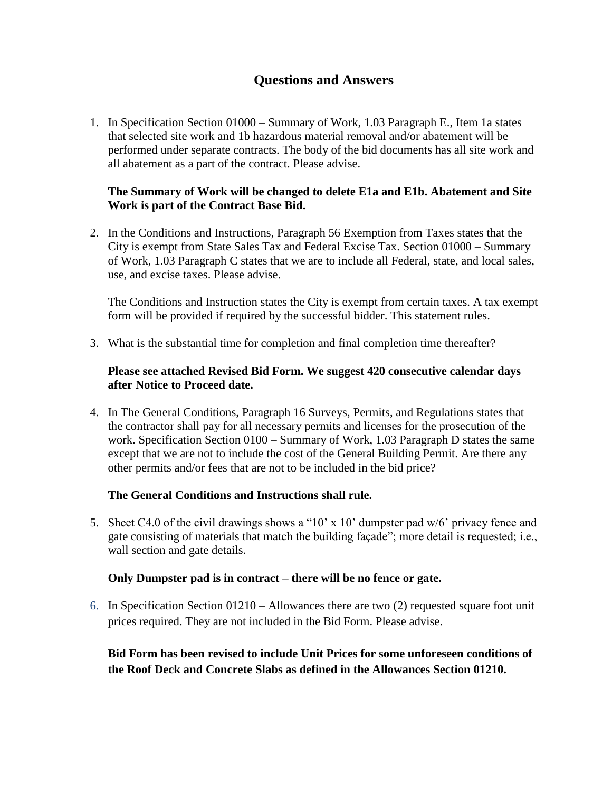# **Questions and Answers**

1. In Specification Section 01000 – Summary of Work, 1.03 Paragraph E., Item 1a states that selected site work and 1b hazardous material removal and/or abatement will be performed under separate contracts. The body of the bid documents has all site work and all abatement as a part of the contract. Please advise.

#### **The Summary of Work will be changed to delete E1a and E1b. Abatement and Site Work is part of the Contract Base Bid.**

2. In the Conditions and Instructions, Paragraph 56 Exemption from Taxes states that the City is exempt from State Sales Tax and Federal Excise Tax. Section 01000 – Summary of Work, 1.03 Paragraph C states that we are to include all Federal, state, and local sales, use, and excise taxes. Please advise.

The Conditions and Instruction states the City is exempt from certain taxes. A tax exempt form will be provided if required by the successful bidder. This statement rules.

3. What is the substantial time for completion and final completion time thereafter?

#### **Please see attached Revised Bid Form. We suggest 420 consecutive calendar days after Notice to Proceed date.**

4. In The General Conditions, Paragraph 16 Surveys, Permits, and Regulations states that the contractor shall pay for all necessary permits and licenses for the prosecution of the work. Specification Section 0100 – Summary of Work, 1.03 Paragraph D states the same except that we are not to include the cost of the General Building Permit. Are there any other permits and/or fees that are not to be included in the bid price?

#### **The General Conditions and Instructions shall rule.**

5. Sheet C4.0 of the civil drawings shows a "10" x 10" dumpster pad w/6" privacy fence and gate consisting of materials that match the building façade"; more detail is requested; i.e., wall section and gate details.

#### **Only Dumpster pad is in contract – there will be no fence or gate.**

6. In Specification Section 01210 – Allowances there are two (2) requested square foot unit prices required. They are not included in the Bid Form. Please advise.

#### **Bid Form has been revised to include Unit Prices for some unforeseen conditions of the Roof Deck and Concrete Slabs as defined in the Allowances Section 01210.**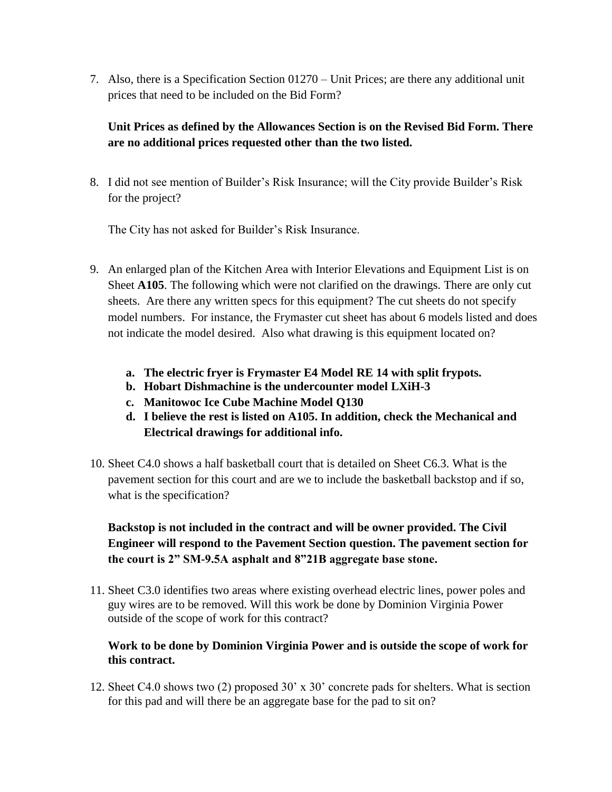7. Also, there is a Specification Section 01270 – Unit Prices; are there any additional unit prices that need to be included on the Bid Form?

# **Unit Prices as defined by the Allowances Section is on the Revised Bid Form. There are no additional prices requested other than the two listed.**

8. I did not see mention of Builder"s Risk Insurance; will the City provide Builder"s Risk for the project?

The City has not asked for Builder"s Risk Insurance.

- 9. An enlarged plan of the Kitchen Area with Interior Elevations and Equipment List is on Sheet **A105**. The following which were not clarified on the drawings. There are only cut sheets. Are there any written specs for this equipment? The cut sheets do not specify model numbers. For instance, the Frymaster cut sheet has about 6 models listed and does not indicate the model desired. Also what drawing is this equipment located on?
	- **a. The electric fryer is Frymaster E4 Model RE 14 with split frypots.**
	- **b. Hobart Dishmachine is the undercounter model LXiH-3**
	- **c. Manitowoc Ice Cube Machine Model Q130**
	- **d. I believe the rest is listed on A105. In addition, check the Mechanical and Electrical drawings for additional info.**
- 10. Sheet C4.0 shows a half basketball court that is detailed on Sheet C6.3. What is the pavement section for this court and are we to include the basketball backstop and if so, what is the specification?

# **Backstop is not included in the contract and will be owner provided. The Civil Engineer will respond to the Pavement Section question. The pavement section for the court is 2" SM-9.5A asphalt and 8"21B aggregate base stone.**

11. Sheet C3.0 identifies two areas where existing overhead electric lines, power poles and guy wires are to be removed. Will this work be done by Dominion Virginia Power outside of the scope of work for this contract?

## **Work to be done by Dominion Virginia Power and is outside the scope of work for this contract.**

12. Sheet C4.0 shows two (2) proposed 30" x 30" concrete pads for shelters. What is section for this pad and will there be an aggregate base for the pad to sit on?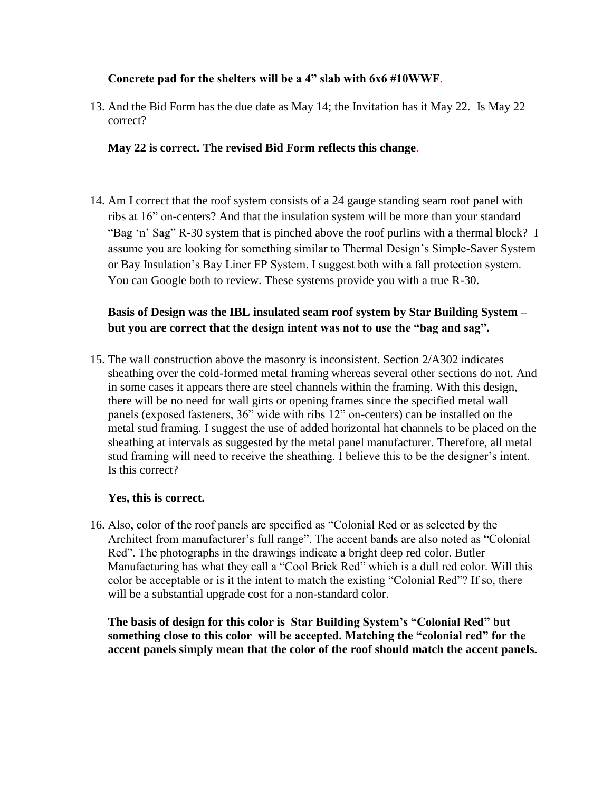#### **Concrete pad for the shelters will be a 4" slab with 6x6 #10WWF**.

13. And the Bid Form has the due date as May 14; the Invitation has it May 22. Is May 22 correct?

#### **May 22 is correct. The revised Bid Form reflects this change**.

14. Am I correct that the roof system consists of a 24 gauge standing seam roof panel with ribs at 16" on-centers? And that the insulation system will be more than your standard "Bag 'n' Sag" R-30 system that is pinched above the roof purlins with a thermal block? I assume you are looking for something similar to Thermal Design"s Simple-Saver System or Bay Insulation"s Bay Liner FP System. I suggest both with a fall protection system. You can Google both to review. These systems provide you with a true R-30.

## **Basis of Design was the IBL insulated seam roof system by Star Building System – but you are correct that the design intent was not to use the "bag and sag".**

15. The wall construction above the masonry is inconsistent. Section 2/A302 indicates sheathing over the cold-formed metal framing whereas several other sections do not. And in some cases it appears there are steel channels within the framing. With this design, there will be no need for wall girts or opening frames since the specified metal wall panels (exposed fasteners, 36" wide with ribs 12" on-centers) can be installed on the metal stud framing. I suggest the use of added horizontal hat channels to be placed on the sheathing at intervals as suggested by the metal panel manufacturer. Therefore, all metal stud framing will need to receive the sheathing. I believe this to be the designer's intent. Is this correct?

#### **Yes, this is correct.**

16. Also, color of the roof panels are specified as "Colonial Red or as selected by the Architect from manufacturer's full range". The accent bands are also noted as "Colonial Red". The photographs in the drawings indicate a bright deep red color. Butler Manufacturing has what they call a "Cool Brick Red" which is a dull red color. Will this color be acceptable or is it the intent to match the existing "Colonial Red"? If so, there will be a substantial upgrade cost for a non-standard color.

**The basis of design for this color is Star Building System's "Colonial Red" but something close to this color will be accepted. Matching the "colonial red" for the accent panels simply mean that the color of the roof should match the accent panels.**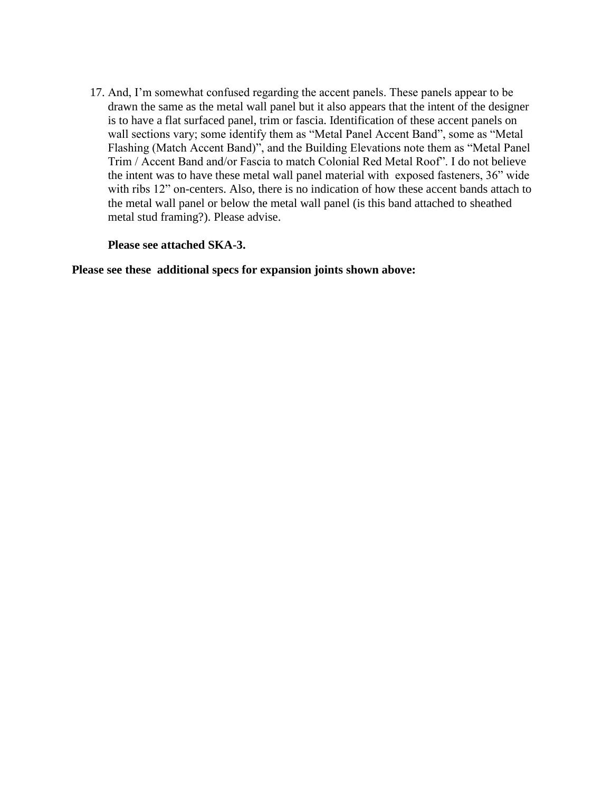17. And, I"m somewhat confused regarding the accent panels. These panels appear to be drawn the same as the metal wall panel but it also appears that the intent of the designer is to have a flat surfaced panel, trim or fascia. Identification of these accent panels on wall sections vary; some identify them as "Metal Panel Accent Band", some as "Metal Flashing (Match Accent Band)", and the Building Elevations note them as "Metal Panel Trim / Accent Band and/or Fascia to match Colonial Red Metal Roof". I do not believe the intent was to have these metal wall panel material with exposed fasteners, 36" wide with ribs 12" on-centers. Also, there is no indication of how these accent bands attach to the metal wall panel or below the metal wall panel (is this band attached to sheathed metal stud framing?). Please advise.

#### **Please see attached SKA-3.**

**Please see these additional specs for expansion joints shown above:**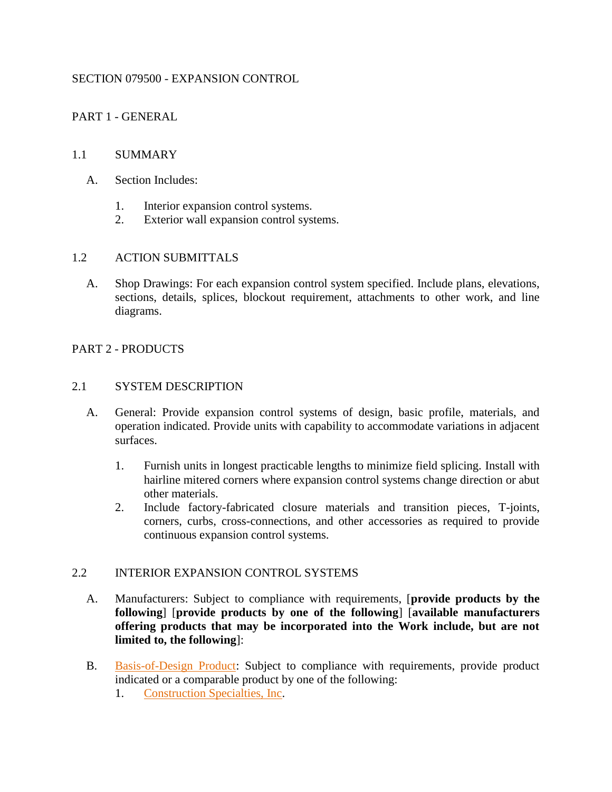#### SECTION 079500 - EXPANSION CONTROL

PART 1 - GENERAL

#### 1.1 SUMMARY

- A. Section Includes:
	- 1. Interior expansion control systems.
	- 2. Exterior wall expansion control systems.

#### 1.2 ACTION SUBMITTALS

A. Shop Drawings: For each expansion control system specified. Include plans, elevations, sections, details, splices, blockout requirement, attachments to other work, and line diagrams.

#### PART 2 - PRODUCTS

#### 2.1 SYSTEM DESCRIPTION

- A. General: Provide expansion control systems of design, basic profile, materials, and operation indicated. Provide units with capability to accommodate variations in adjacent surfaces.
	- 1. Furnish units in longest practicable lengths to minimize field splicing. Install with hairline mitered corners where expansion control systems change direction or abut other materials.
	- 2. Include factory-fabricated closure materials and transition pieces, T-joints, corners, curbs, cross-connections, and other accessories as required to provide continuous expansion control systems.

#### 2.2 INTERIOR EXPANSION CONTROL SYSTEMS

- A. Manufacturers: Subject to compliance with requirements, [**provide products by the following**] [**provide products by one of the following**] [**available manufacturers offering products that may be incorporated into the Work include, but are not limited to, the following**]:
- B. [Basis-of-Design Product:](http://www.specagent.com/LookUp/?ulid=1090&mf=04&src=wd) Subject to compliance with requirements, provide product indicated or a comparable product by one of the following:
	- 1. [Construction Specialties, Inc.](http://www.specagent.com/LookUp/?uid=123456799380&mf=04&src=wd)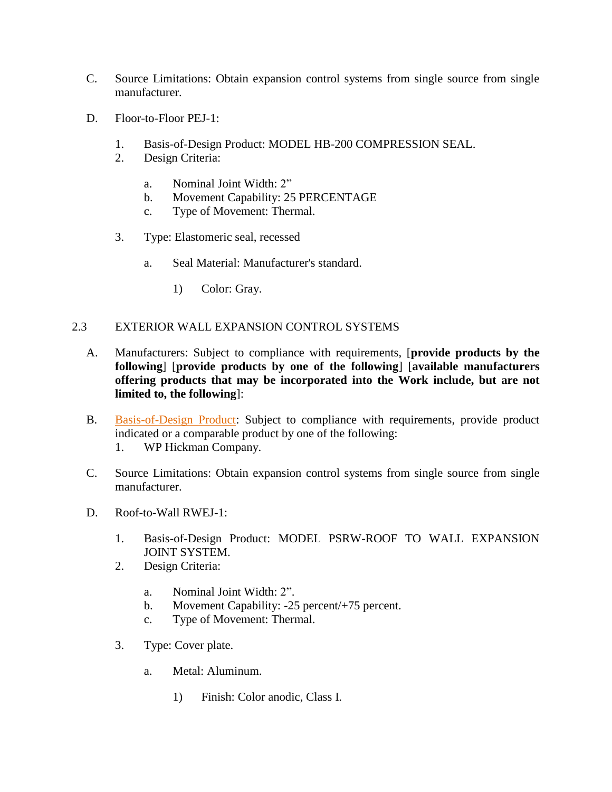- C. Source Limitations: Obtain expansion control systems from single source from single manufacturer.
- D. Floor-to-Floor PEJ-1:
	- 1. Basis-of-Design Product: MODEL HB-200 COMPRESSION SEAL.
	- 2. Design Criteria:
		- a. Nominal Joint Width: 2"
		- b. Movement Capability: 25 PERCENTAGE
		- c. Type of Movement: Thermal.
	- 3. Type: Elastomeric seal, recessed
		- a. Seal Material: Manufacturer's standard.
			- 1) Color: Gray.

## 2.3 EXTERIOR WALL EXPANSION CONTROL SYSTEMS

- A. Manufacturers: Subject to compliance with requirements, [**provide products by the following**] [**provide products by one of the following**] [**available manufacturers offering products that may be incorporated into the Work include, but are not limited to, the following**]:
- B. [Basis-of-Design Product:](http://www.specagent.com/LookUp/?ulid=1092&mf=04&src=wd) Subject to compliance with requirements, provide product indicated or a comparable product by one of the following:
	- 1. WP Hickman Company.
- C. Source Limitations: Obtain expansion control systems from single source from single manufacturer.
- D. Roof-to-Wall RWEJ-1:
	- 1. Basis-of-Design Product: MODEL PSRW-ROOF TO WALL EXPANSION JOINT SYSTEM.
	- 2. Design Criteria:
		- a. Nominal Joint Width: 2".
		- b. Movement Capability: -25 percent/+75 percent.
		- c. Type of Movement: Thermal.
	- 3. Type: Cover plate.
		- a. Metal: Aluminum.
			- 1) Finish: Color anodic, Class I.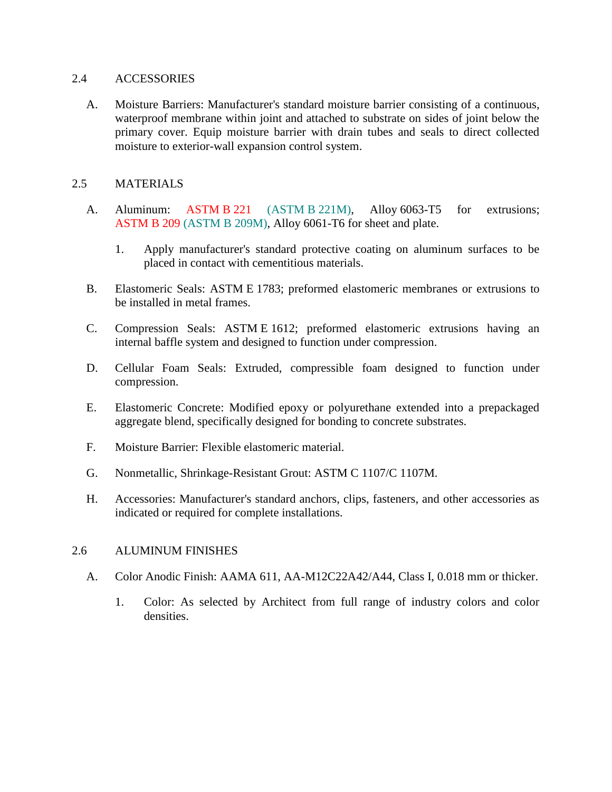#### 2.4 ACCESSORIES

A. Moisture Barriers: Manufacturer's standard moisture barrier consisting of a continuous, waterproof membrane within joint and attached to substrate on sides of joint below the primary cover. Equip moisture barrier with drain tubes and seals to direct collected moisture to exterior-wall expansion control system.

#### 2.5 MATERIALS

- A. Aluminum: ASTM B 221 (ASTM B 221M), Alloy 6063-T5 for extrusions; ASTM B 209 (ASTM B 209M), Alloy 6061-T6 for sheet and plate.
	- 1. Apply manufacturer's standard protective coating on aluminum surfaces to be placed in contact with cementitious materials.
- B. Elastomeric Seals: ASTM E 1783; preformed elastomeric membranes or extrusions to be installed in metal frames.
- C. Compression Seals: ASTM E 1612; preformed elastomeric extrusions having an internal baffle system and designed to function under compression.
- D. Cellular Foam Seals: Extruded, compressible foam designed to function under compression.
- E. Elastomeric Concrete: Modified epoxy or polyurethane extended into a prepackaged aggregate blend, specifically designed for bonding to concrete substrates.
- F. Moisture Barrier: Flexible elastomeric material.
- G. Nonmetallic, Shrinkage-Resistant Grout: ASTM C 1107/C 1107M.
- H. Accessories: Manufacturer's standard anchors, clips, fasteners, and other accessories as indicated or required for complete installations.

#### 2.6 ALUMINUM FINISHES

- A. Color Anodic Finish: AAMA 611, AA-M12C22A42/A44, Class I, 0.018 mm or thicker.
	- 1. Color: As selected by Architect from full range of industry colors and color densities.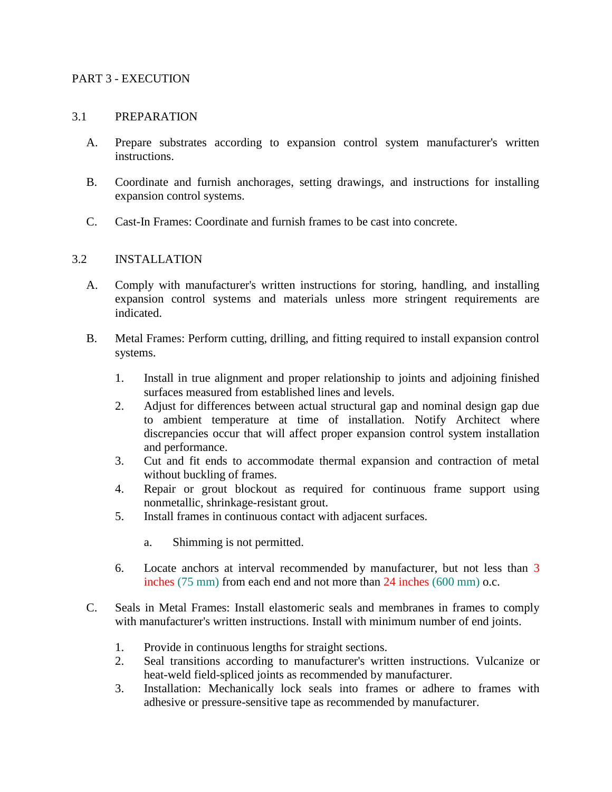#### PART 3 - EXECUTION

#### 3.1 PREPARATION

- A. Prepare substrates according to expansion control system manufacturer's written instructions.
- B. Coordinate and furnish anchorages, setting drawings, and instructions for installing expansion control systems.
- C. Cast-In Frames: Coordinate and furnish frames to be cast into concrete.

#### 3.2 INSTALLATION

- A. Comply with manufacturer's written instructions for storing, handling, and installing expansion control systems and materials unless more stringent requirements are indicated.
- B. Metal Frames: Perform cutting, drilling, and fitting required to install expansion control systems.
	- 1. Install in true alignment and proper relationship to joints and adjoining finished surfaces measured from established lines and levels.
	- 2. Adjust for differences between actual structural gap and nominal design gap due to ambient temperature at time of installation. Notify Architect where discrepancies occur that will affect proper expansion control system installation and performance.
	- 3. Cut and fit ends to accommodate thermal expansion and contraction of metal without buckling of frames.
	- 4. Repair or grout blockout as required for continuous frame support using nonmetallic, shrinkage-resistant grout.
	- 5. Install frames in continuous contact with adjacent surfaces.
		- a. Shimming is not permitted.
	- 6. Locate anchors at interval recommended by manufacturer, but not less than 3 inches (75 mm) from each end and not more than 24 inches (600 mm) o.c.
- C. Seals in Metal Frames: Install elastomeric seals and membranes in frames to comply with manufacturer's written instructions. Install with minimum number of end joints.
	- 1. Provide in continuous lengths for straight sections.
	- 2. Seal transitions according to manufacturer's written instructions. Vulcanize or heat-weld field-spliced joints as recommended by manufacturer.
	- 3. Installation: Mechanically lock seals into frames or adhere to frames with adhesive or pressure-sensitive tape as recommended by manufacturer.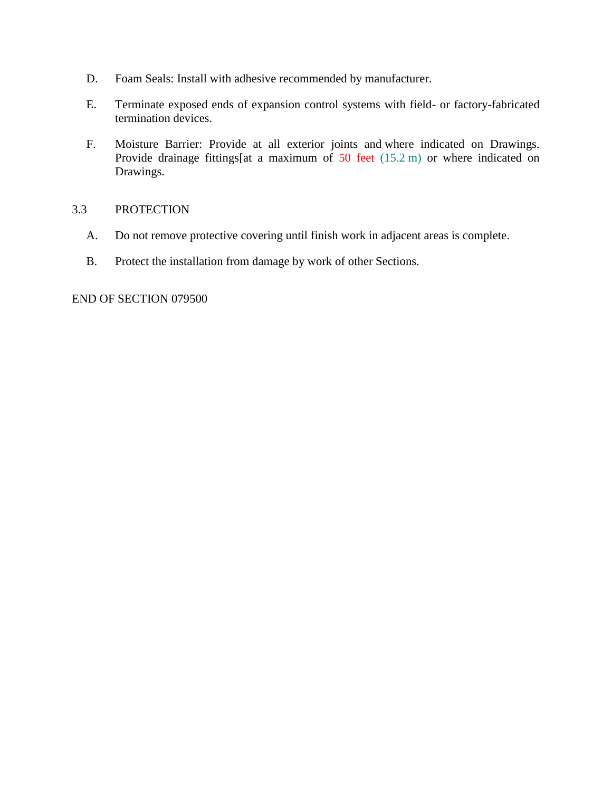- D. Foam Seals: Install with adhesive recommended by manufacturer.
- E. Terminate exposed ends of expansion control systems with field- or factory-fabricated termination devices.
- F. Moisture Barrier: Provide at all exterior joints and where indicated on Drawings. Provide drainage fittings[at a maximum of 50 feet (15.2 m) or where indicated on Drawings.

#### 3.3 PROTECTION

- A. Do not remove protective covering until finish work in adjacent areas is complete.
- B. Protect the installation from damage by work of other Sections.

END OF SECTION 079500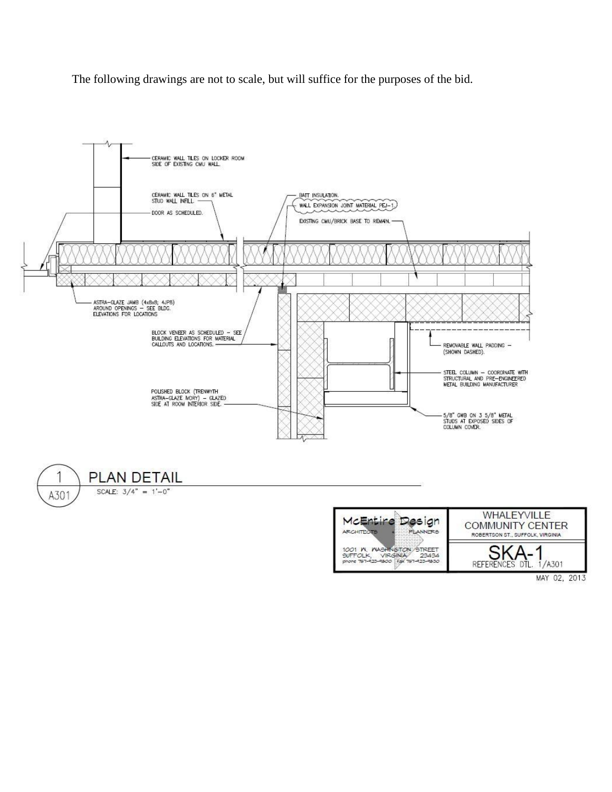The following drawings are not to scale, but will suffice for the purposes of the bid.





MAY 02, 2013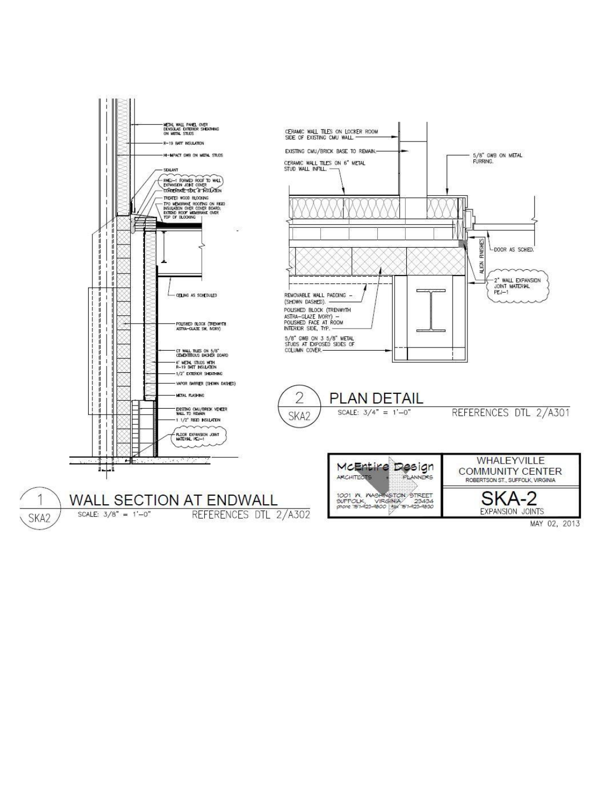